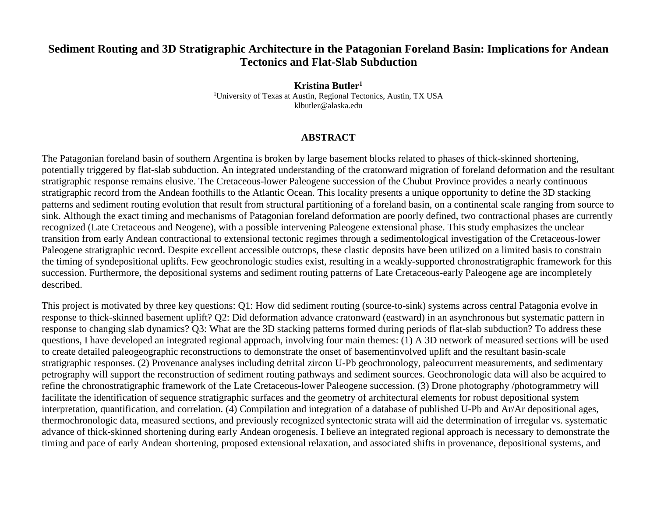## **Sediment Routing and 3D Stratigraphic Architecture in the Patagonian Foreland Basin: Implications for Andean Tectonics and Flat-Slab Subduction**

**Kristina Butler1** <sup>1</sup>University of Texas at Austin, Regional Tectonics, Austin, TX USA klbutler@alaska.edu

## **ABSTRACT**

The Patagonian foreland basin of southern Argentina is broken by large basement blocks related to phases of thick-skinned shortening, potentially triggered by flat-slab subduction. An integrated understanding of the cratonward migration of foreland deformation and the resultant stratigraphic response remains elusive. The Cretaceous-lower Paleogene succession of the Chubut Province provides a nearly continuous stratigraphic record from the Andean foothills to the Atlantic Ocean. This locality presents a unique opportunity to define the 3D stacking patterns and sediment routing evolution that result from structural partitioning of a foreland basin, on a continental scale ranging from source to sink. Although the exact timing and mechanisms of Patagonian foreland deformation are poorly defined, two contractional phases are currently recognized (Late Cretaceous and Neogene), with a possible intervening Paleogene extensional phase. This study emphasizes the unclear transition from early Andean contractional to extensional tectonic regimes through a sedimentological investigation of the Cretaceous-lower Paleogene stratigraphic record. Despite excellent accessible outcrops, these clastic deposits have been utilized on a limited basis to constrain the timing of syndepositional uplifts. Few geochronologic studies exist, resulting in a weakly-supported chronostratigraphic framework for this succession. Furthermore, the depositional systems and sediment routing patterns of Late Cretaceous-early Paleogene age are incompletely described.

This project is motivated by three key questions: Q1: How did sediment routing (source-to-sink) systems across central Patagonia evolve in response to thick-skinned basement uplift? Q2: Did deformation advance cratonward (eastward) in an asynchronous but systematic pattern in response to changing slab dynamics? Q3: What are the 3D stacking patterns formed during periods of flat-slab subduction? To address these questions, I have developed an integrated regional approach, involving four main themes: (1) A 3D network of measured sections will be used to create detailed paleogeographic reconstructions to demonstrate the onset of basementinvolved uplift and the resultant basin-scale stratigraphic responses. (2) Provenance analyses including detrital zircon U-Pb geochronology, paleocurrent measurements, and sedimentary petrography will support the reconstruction of sediment routing pathways and sediment sources. Geochronologic data will also be acquired to refine the chronostratigraphic framework of the Late Cretaceous-lower Paleogene succession. (3) Drone photography /photogrammetry will facilitate the identification of sequence stratigraphic surfaces and the geometry of architectural elements for robust depositional system interpretation, quantification, and correlation. (4) Compilation and integration of a database of published U-Pb and Ar/Ar depositional ages, thermochronologic data, measured sections, and previously recognized syntectonic strata will aid the determination of irregular vs. systematic advance of thick-skinned shortening during early Andean orogenesis. I believe an integrated regional approach is necessary to demonstrate the timing and pace of early Andean shortening, proposed extensional relaxation, and associated shifts in provenance, depositional systems, and